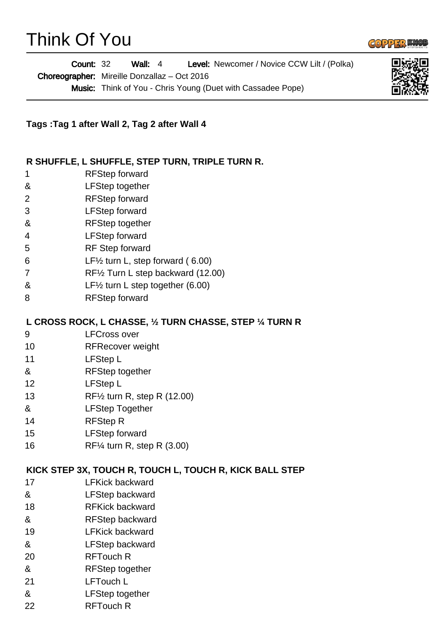# Think Of You



Wall: 4 Level: Newcomer / Novice CCW Lilt / (Polka) Choreographer: Mireille Donzallaz - Oct 2016 Music: Think of You - Chris Young (Duet with Cassadee Pope) Count: 32



#### **R SHUFFLE, L SHUFFLE, STEP TURN, TRIPLE TURN R.**

- 1 RFStep forward
- & LFStep together
- 2 RFStep forward
- 3 LFStep forward
- & RFStep together
- 4 LFStep forward
- 5 RF Step forward
- 6 LF½ turn L, step forward ( 6.00)
- 7 RF½ Turn L step backward (12.00)
- & LF½ turn L step together (6.00)
- 8 RFStep forward

#### **L CROSS ROCK, L CHASSE, ½ TURN CHASSE, STEP ¼ TURN R**

- 9 LFCross over
- 10 RFRecover weight
- 11 LFStep L
- & RFStep together
- 12 LFStep L
- 13 RF½ turn R, step R (12.00)
- & LFStep Together
- 14 RFStep R
- 15 LFStep forward
- 16 RF¼ turn R, step R (3.00)

#### **KICK STEP 3X, TOUCH R, TOUCH L, TOUCH R, KICK BALL STEP**

- 17 LFKick backward
- & LFStep backward
- 18 RFKick backward
- & RFStep backward
- 19 LFKick backward
- & LFStep backward
- 20 RFTouch R
- & RFStep together
- 21 LFTouch L
- & LFStep together
- 22 RFTouch R